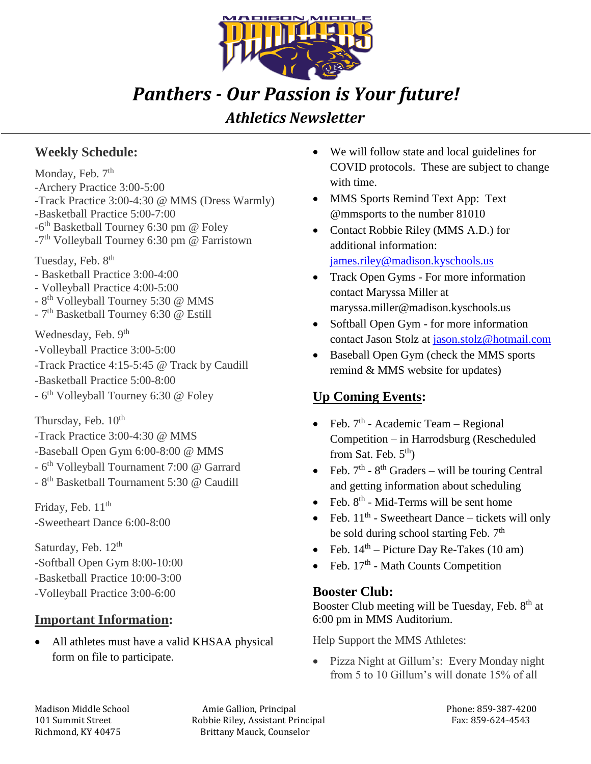

# *Panthers - Our Passion is Your future!*

## *Athletics Newsletter*

#### **Weekly Schedule:**

Monday, Feb. 7<sup>th</sup> -Archery Practice 3:00-5:00 -Track Practice 3:00-4:30 @ MMS (Dress Warmly) -Basketball Practice 5:00-7:00 -6<sup>th</sup> Basketball Tourney 6:30 pm @ Foley -7<sup>th</sup> Volleyball Tourney 6:30 pm @ Farristown

Tuesday, Feb. 8<sup>th</sup>

- Basketball Practice 3:00-4:00
- Volleyball Practice 4:00-5:00
- 8<sup>th</sup> Volleyball Tourney 5:30 @ MMS
- 7<sup>th</sup> Basketball Tourney 6:30 @ Estill

Wednesday, Feb. 9<sup>th</sup>

- -Volleyball Practice 3:00-5:00
- -Track Practice 4:15-5:45 @ Track by Caudill
- -Basketball Practice 5:00-8:00
- 6<sup>th</sup> Volleyball Tourney 6:30 @ Foley

Thursday, Feb.  $10^{th}$ 

- -Track Practice 3:00-4:30 @ MMS
- -Baseball Open Gym 6:00-8:00 @ MMS
- 6<sup>th</sup> Volleyball Tournament 7:00 @ Garrard
- 8<sup>th</sup> Basketball Tournament 5:30 @ Caudill

Friday, Feb.  $11<sup>th</sup>$ -Sweetheart Dance 6:00-8:00

Saturday, Feb. 12<sup>th</sup> -Softball Open Gym 8:00-10:00 -Basketball Practice 10:00-3:00 -Volleyball Practice 3:00-6:00

#### **Important Information:**

• All athletes must have a valid KHSAA physical form on file to participate.

- We will follow state and local guidelines for COVID protocols. These are subject to change with time.
- MMS Sports Remind Text App: Text @mmsports to the number 81010
- Contact Robbie Riley (MMS A.D.) for additional information: [james.riley@madison.kyschools.us](mailto:james.riley@madison.kyschools.us)
- Track Open Gyms For more information contact Maryssa Miller at maryssa.miller@madison.kyschools.us
- Softball Open Gym for more information contact Jason Stolz at [jason.stolz@hotmail.com](mailto:jason.stolz@hotmail.com)
- Baseball Open Gym (check the MMS sports remind & MMS website for updates)

### **Up Coming Events:**

- Feb.  $7<sup>th</sup>$  Academic Team Regional Competition – in Harrodsburg (Rescheduled from Sat. Feb.  $5<sup>th</sup>$ )
- Feb.  $7<sup>th</sup> 8<sup>th</sup> Graders will be tourism Central$ and getting information about scheduling
- Feb.  $8^{th}$  Mid-Terms will be sent home
- Feb.  $11<sup>th</sup>$  Sweetheart Dance tickets will only be sold during school starting Feb. 7<sup>th</sup>
- Feb.  $14<sup>th</sup>$  Picture Day Re-Takes (10 am)
- Feb.  $17<sup>th</sup>$  Math Counts Competition

#### **Booster Club:**

Booster Club meeting will be Tuesday, Feb.  $8<sup>th</sup>$  at 6:00 pm in MMS Auditorium.

Help Support the MMS Athletes:

• Pizza Night at Gillum's: Every Monday night from 5 to 10 Gillum's will donate 15% of all

Madison Middle School **Amie Gallion, Principal** Phone: 859-387-4200 101 Summit Street The Robbie Riley, Assistant Principal Fax: 859-624-4543 Richmond, KY 40475 Brittany Mauck, Counselor